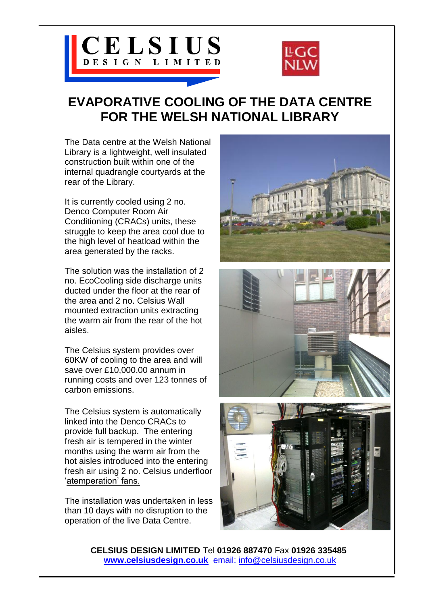



## **EVAPORATIVE COOLING OF THE DATA CENTRE FOR THE WELSH NATIONAL LIBRARY**

The Data centre at the Welsh National Library is a lightweight, well insulated construction built within one of the internal quadrangle courtyards at the rear of the Library.

It is currently cooled using 2 no. Denco Computer Room Air Conditioning (CRACs) units, these struggle to keep the area cool due to the high level of heatload within the area generated by the racks.

The solution was the installation of 2 no. EcoCooling side discharge units ducted under the floor at the rear of the area and 2 no. Celsius Wall mounted extraction units extracting the warm air from the rear of the hot aisles.

The Celsius system provides over 60KW of cooling to the area and will save over £10,000.00 annum in running costs and over 123 tonnes of carbon emissions.

The Celsius system is automatically linked into the Denco CRACs to provide full backup. The entering fresh air is tempered in the winter months using the warm air from the hot aisles introduced into the entering fresh air using 2 no. Celsius underfloor 'atemperation' fans.

The installation was undertaken in less than 10 days with no disruption to the operation of the live Data Centre.



**CELSIUS DESIGN LIMITED** Tel **01926 887470** Fax **01926 335485 [www.celsiusdesign.co.uk](http://www.celsiusdesign.co.uk/)** email: info@celsiusdesign.co.uk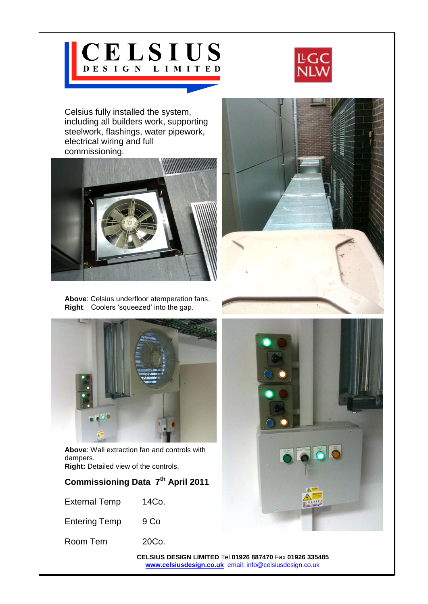## CELSIUS



Celsius fully installed the system, including all builders work, supporting steelwork, flashings, water pipework, electrical wiring and full commissioning.



**Above**: Celsius underfloor atemperation fans. **Right**: Coolers 'squeezed' into the gap.



**Above**: Wall extraction fan and controls with dampers.

**Right:** Detailed view of the controls.

| Commissioning Data 7 <sup>th</sup> April 2011 |  |
|-----------------------------------------------|--|
|-----------------------------------------------|--|

External Temp 14Co.

Entering Temp 9 Co

Room Tem 20Co.



**CELSIUS DESIGN LIMITED** Tel **01926 887470** Fax **01926 335485 [www.celsiusdesign.co.uk](http://www.celsiusdesign.co.uk/)** email: [info@celsiusdesign.co.uk](mailto:info@celsiusdesign.co.uk)